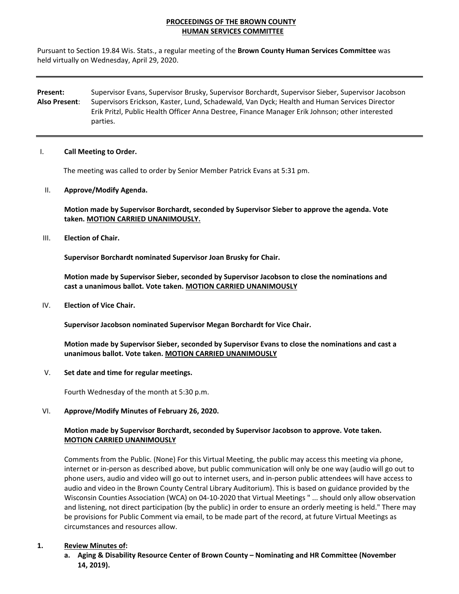# **PROCEEDINGS OF THE BROWN COUNTY HUMAN SERVICES COMMITTEE**

Pursuant to Section 19.84 Wis. Stats., a regular meeting of the **Brown County Human Services Committee** was held virtually on Wednesday, April 29, 2020.

**Present:**  Supervisor Evans, Supervisor Brusky, Supervisor Borchardt, Supervisor Sieber, Supervisor Jacobson **Also Present**: Supervisors Erickson, Kaster, Lund, Schadewald, Van Dyck; Health and Human Services Director Erik Pritzl, Public Health Officer Anna Destree, Finance Manager Erik Johnson; other interested parties.

#### I. **Call Meeting to Order.**

The meeting was called to order by Senior Member Patrick Evans at 5:31 pm.

II. **Approve/Modify Agenda.**

**Motion made by Supervisor Borchardt, seconded by Supervisor Sieber to approve the agenda. Vote taken. MOTION CARRIED UNANIMOUSLY.**

III. **Election of Chair.**

**Supervisor Borchardt nominated Supervisor Joan Brusky for Chair.**

**Motion made by Supervisor Sieber, seconded by Supervisor Jacobson to close the nominations and cast a unanimous ballot. Vote taken. MOTION CARRIED UNANIMOUSLY** 

IV. **Election of Vice Chair.**

**Supervisor Jacobson nominated Supervisor Megan Borchardt for Vice Chair.**

**Motion made by Supervisor Sieber, seconded by Supervisor Evans to close the nominations and cast a unanimous ballot. Vote taken. MOTION CARRIED UNANIMOUSLY**

V. **Set date and time for regular meetings.**

Fourth Wednesday of the month at 5:30 p.m.

## VI. **Approve/Modify Minutes of February 26, 2020.**

## **Motion made by Supervisor Borchardt, seconded by Supervisor Jacobson to approve. Vote taken. MOTION CARRIED UNANIMOUSLY**

Comments from the Public. (None) For this Virtual Meeting, the public may access this meeting via phone, internet or in‐person as described above, but public communication will only be one way (audio will go out to phone users, audio and video will go out to internet users, and in‐person public attendees will have access to audio and video in the Brown County Central Library Auditorium). This is based on guidance provided by the Wisconsin Counties Association (WCA) on 04‐10‐2020 that Virtual Meetings " ... should only allow observation and listening, not direct participation (by the public) in order to ensure an orderly meeting is held." There may be provisions for Public Comment via email, to be made part of the record, at future Virtual Meetings as circumstances and resources allow.

## **1. Review Minutes of:**

**a. Aging & Disability Resource Center of Brown County – Nominating and HR Committee (November 14, 2019).**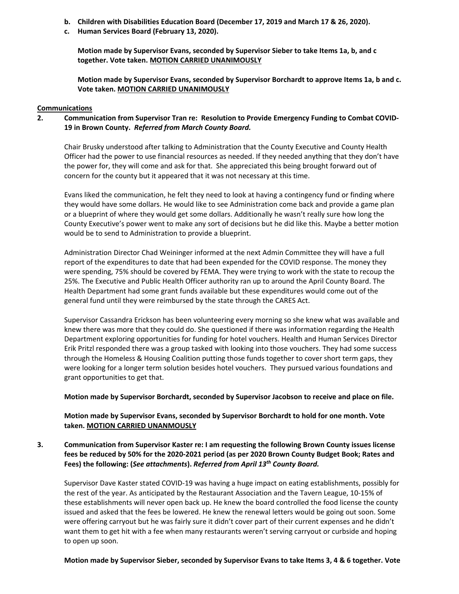- **b. Children with Disabilities Education Board (December 17, 2019 and March 17 & 26, 2020).**
- **c. Human Services Board (February 13, 2020).**

**Motion made by Supervisor Evans, seconded by Supervisor Sieber to take Items 1a, b, and c together. Vote taken. MOTION CARRIED UNANIMOUSLY**

**Motion made by Supervisor Evans, seconded by Supervisor Borchardt to approve Items 1a, b and c. Vote taken. MOTION CARRIED UNANIMOUSLY**

### **Communications**

**2. Communication from Supervisor Tran re: Resolution to Provide Emergency Funding to Combat COVID‐ 19 in Brown County.** *Referred from March County Board.*

Chair Brusky understood after talking to Administration that the County Executive and County Health Officer had the power to use financial resources as needed. If they needed anything that they don't have the power for, they will come and ask for that. She appreciated this being brought forward out of concern for the county but it appeared that it was not necessary at this time.

Evans liked the communication, he felt they need to look at having a contingency fund or finding where they would have some dollars. He would like to see Administration come back and provide a game plan or a blueprint of where they would get some dollars. Additionally he wasn't really sure how long the County Executive's power went to make any sort of decisions but he did like this. Maybe a better motion would be to send to Administration to provide a blueprint.

Administration Director Chad Weininger informed at the next Admin Committee they will have a full report of the expenditures to date that had been expended for the COVID response. The money they were spending, 75% should be covered by FEMA. They were trying to work with the state to recoup the 25%. The Executive and Public Health Officer authority ran up to around the April County Board. The Health Department had some grant funds available but these expenditures would come out of the general fund until they were reimbursed by the state through the CARES Act.

Supervisor Cassandra Erickson has been volunteering every morning so she knew what was available and knew there was more that they could do. She questioned if there was information regarding the Health Department exploring opportunities for funding for hotel vouchers. Health and Human Services Director Erik Pritzl responded there was a group tasked with looking into those vouchers. They had some success through the Homeless & Housing Coalition putting those funds together to cover short term gaps, they were looking for a longer term solution besides hotel vouchers. They pursued various foundations and grant opportunities to get that.

**Motion made by Supervisor Borchardt, seconded by Supervisor Jacobson to receive and place on file.**

**Motion made by Supervisor Evans, seconded by Supervisor Borchardt to hold for one month. Vote taken. MOTION CARRIED UNANMOUSLY** 

**3. Communication from Supervisor Kaster re: I am requesting the following Brown County issues license** fees be reduced by 50% for the 2020-2021 period (as per 2020 Brown County Budget Book; Rates and **Fees) the following: (***See attachments***).** *Referred from April 13th County Board.* 

Supervisor Dave Kaster stated COVID‐19 was having a huge impact on eating establishments, possibly for the rest of the year. As anticipated by the Restaurant Association and the Tavern League, 10‐15% of these establishments will never open back up. He knew the board controlled the food license the county issued and asked that the fees be lowered. He knew the renewal letters would be going out soon. Some were offering carryout but he was fairly sure it didn't cover part of their current expenses and he didn't want them to get hit with a fee when many restaurants weren't serving carryout or curbside and hoping to open up soon.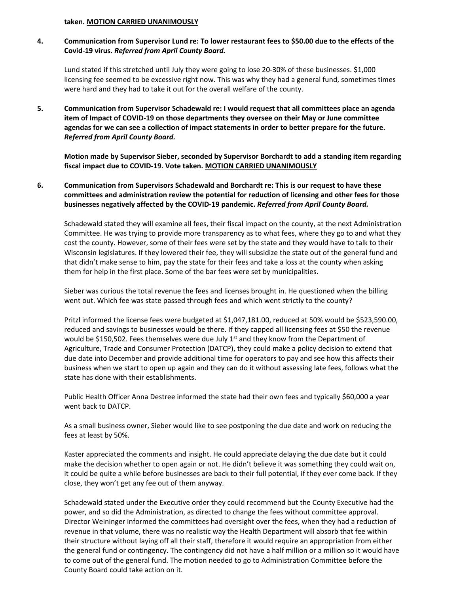#### **taken. MOTION CARRIED UNANIMOUSLY**

4. Communication from Supervisor Lund re: To lower restaurant fees to \$50.00 due to the effects of the **Covid‐19 virus.** *Referred from April County Board.*

Lund stated if this stretched until July they were going to lose 20-30% of these businesses. \$1,000 licensing fee seemed to be excessive right now. This was why they had a general fund, sometimes times were hard and they had to take it out for the overall welfare of the county.

**5. Communication from Supervisor Schadewald re: I would request that all committees place an agenda item of Impact of COVID‐19 on those departments they oversee on their May or June committee** agendas for we can see a collection of impact statements in order to better prepare for the future. *Referred from April County Board.* 

**Motion made by Supervisor Sieber, seconded by Supervisor Borchardt to add a standing item regarding fiscal impact due to COVID‐19. Vote taken. MOTION CARRIED UNANIMOUSLY**

**6. Communication from Supervisors Schadewald and Borchardt re: This is our request to have these committees and administration review the potential for reduction of licensing and other fees for those businesses negatively affected by the COVID‐19 pandemic.** *Referred from April County Board.* 

Schadewald stated they will examine all fees, their fiscal impact on the county, at the next Administration Committee. He was trying to provide more transparency as to what fees, where they go to and what they cost the county. However, some of their fees were set by the state and they would have to talk to their Wisconsin legislatures. If they lowered their fee, they will subsidize the state out of the general fund and that didn't make sense to him, pay the state for their fees and take a loss at the county when asking them for help in the first place. Some of the bar fees were set by municipalities.

Sieber was curious the total revenue the fees and licenses brought in. He questioned when the billing went out. Which fee was state passed through fees and which went strictly to the county?

Pritzl informed the license fees were budgeted at \$1,047,181.00, reduced at 50% would be \$523,590.00, reduced and savings to businesses would be there. If they capped all licensing fees at \$50 the revenue would be \$150,502. Fees themselves were due July  $1<sup>st</sup>$  and they know from the Department of Agriculture, Trade and Consumer Protection (DATCP), they could make a policy decision to extend that due date into December and provide additional time for operators to pay and see how this affects their business when we start to open up again and they can do it without assessing late fees, follows what the state has done with their establishments.

Public Health Officer Anna Destree informed the state had their own fees and typically \$60,000 a year went back to DATCP.

As a small business owner, Sieber would like to see postponing the due date and work on reducing the fees at least by 50%.

Kaster appreciated the comments and insight. He could appreciate delaying the due date but it could make the decision whether to open again or not. He didn't believe it was something they could wait on, it could be quite a while before businesses are back to their full potential, if they ever come back. If they close, they won't get any fee out of them anyway.

Schadewald stated under the Executive order they could recommend but the County Executive had the power, and so did the Administration, as directed to change the fees without committee approval. Director Weininger informed the committees had oversight over the fees, when they had a reduction of revenue in that volume, there was no realistic way the Health Department will absorb that fee within their structure without laying off all their staff, therefore it would require an appropriation from either the general fund or contingency. The contingency did not have a half million or a million so it would have to come out of the general fund. The motion needed to go to Administration Committee before the County Board could take action on it.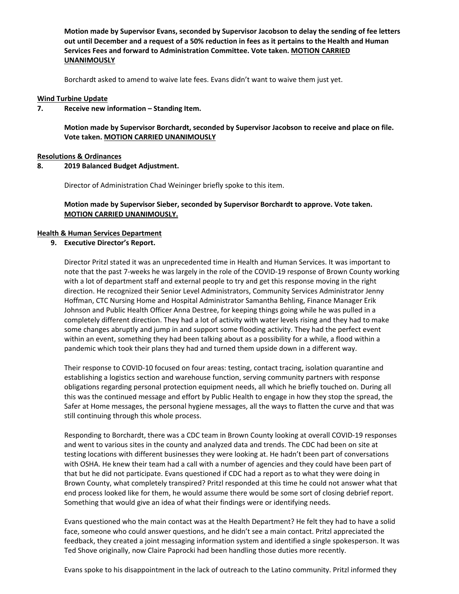**Motion made by Supervisor Evans, seconded by Supervisor Jacobson to delay the sending of fee letters** out until December and a request of a 50% reduction in fees as it pertains to the Health and Human **Services Fees and forward to Administration Committee. Vote taken. MOTION CARRIED UNANIMOUSLY** 

Borchardt asked to amend to waive late fees. Evans didn't want to waive them just yet.

#### **Wind Turbine Update**

#### **7. Receive new information – Standing Item.**

**Motion made by Supervisor Borchardt, seconded by Supervisor Jacobson to receive and place on file. Vote taken. MOTION CARRIED UNANIMOUSLY**

#### **Resolutions & Ordinances**

#### **8. 2019 Balanced Budget Adjustment.**

Director of Administration Chad Weininger briefly spoke to this item.

## **Motion made by Supervisor Sieber, seconded by Supervisor Borchardt to approve. Vote taken. MOTION CARRIED UNANIMOUSLY.**

#### **Health & Human Services Department**

## **9. Executive Director's Report.**

Director Pritzl stated it was an unprecedented time in Health and Human Services. It was important to note that the past 7‐weeks he was largely in the role of the COVID‐19 response of Brown County working with a lot of department staff and external people to try and get this response moving in the right direction. He recognized their Senior Level Administrators, Community Services Administrator Jenny Hoffman, CTC Nursing Home and Hospital Administrator Samantha Behling, Finance Manager Erik Johnson and Public Health Officer Anna Destree, for keeping things going while he was pulled in a completely different direction. They had a lot of activity with water levels rising and they had to make some changes abruptly and jump in and support some flooding activity. They had the perfect event within an event, something they had been talking about as a possibility for a while, a flood within a pandemic which took their plans they had and turned them upside down in a different way.

Their response to COVID‐10 focused on four areas: testing, contact tracing, isolation quarantine and establishing a logistics section and warehouse function, serving community partners with response obligations regarding personal protection equipment needs, all which he briefly touched on. During all this was the continued message and effort by Public Health to engage in how they stop the spread, the Safer at Home messages, the personal hygiene messages, all the ways to flatten the curve and that was still continuing through this whole process.

Responding to Borchardt, there was a CDC team in Brown County looking at overall COVID‐19 responses and went to various sites in the county and analyzed data and trends. The CDC had been on site at testing locations with different businesses they were looking at. He hadn't been part of conversations with OSHA. He knew their team had a call with a number of agencies and they could have been part of that but he did not participate. Evans questioned if CDC had a report as to what they were doing in Brown County, what completely transpired? Pritzl responded at this time he could not answer what that end process looked like for them, he would assume there would be some sort of closing debrief report. Something that would give an idea of what their findings were or identifying needs.

Evans questioned who the main contact was at the Health Department? He felt they had to have a solid face, someone who could answer questions, and he didn't see a main contact. Pritzl appreciated the feedback, they created a joint messaging information system and identified a single spokesperson. It was Ted Shove originally, now Claire Paprocki had been handling those duties more recently.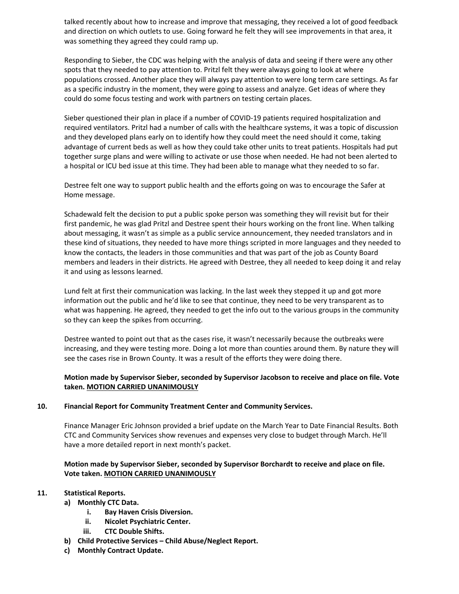talked recently about how to increase and improve that messaging, they received a lot of good feedback and direction on which outlets to use. Going forward he felt they will see improvements in that area, it was something they agreed they could ramp up.

Responding to Sieber, the CDC was helping with the analysis of data and seeing if there were any other spots that they needed to pay attention to. Pritzl felt they were always going to look at where populations crossed. Another place they will always pay attention to were long term care settings. As far as a specific industry in the moment, they were going to assess and analyze. Get ideas of where they could do some focus testing and work with partners on testing certain places.

Sieber questioned their plan in place if a number of COVID-19 patients required hospitalization and required ventilators. Pritzl had a number of calls with the healthcare systems, it was a topic of discussion and they developed plans early on to identify how they could meet the need should it come, taking advantage of current beds as well as how they could take other units to treat patients. Hospitals had put together surge plans and were willing to activate or use those when needed. He had not been alerted to a hospital or ICU bed issue at this time. They had been able to manage what they needed to so far.

Destree felt one way to support public health and the efforts going on was to encourage the Safer at Home message.

Schadewald felt the decision to put a public spoke person was something they will revisit but for their first pandemic, he was glad Pritzl and Destree spent their hours working on the front line. When talking about messaging, it wasn't as simple as a public service announcement, they needed translators and in these kind of situations, they needed to have more things scripted in more languages and they needed to know the contacts, the leaders in those communities and that was part of the job as County Board members and leaders in their districts. He agreed with Destree, they all needed to keep doing it and relay it and using as lessons learned.

Lund felt at first their communication was lacking. In the last week they stepped it up and got more information out the public and he'd like to see that continue, they need to be very transparent as to what was happening. He agreed, they needed to get the info out to the various groups in the community so they can keep the spikes from occurring.

Destree wanted to point out that as the cases rise, it wasn't necessarily because the outbreaks were increasing, and they were testing more. Doing a lot more than counties around them. By nature they will see the cases rise in Brown County. It was a result of the efforts they were doing there.

# **Motion made by Supervisor Sieber, seconded by Supervisor Jacobson to receive and place on file. Vote taken. MOTION CARRIED UNANIMOUSLY**

## **10. Financial Report for Community Treatment Center and Community Services.**

Finance Manager Eric Johnson provided a brief update on the March Year to Date Financial Results. Both CTC and Community Services show revenues and expenses very close to budget through March. He'll have a more detailed report in next month's packet.

# **Motion made by Supervisor Sieber, seconded by Supervisor Borchardt to receive and place on file. Vote taken. MOTION CARRIED UNANIMOUSLY**

- **11. Statistical Reports.**
	- **a) Monthly CTC Data.**
		- **i. Bay Haven Crisis Diversion.**
		- **ii. Nicolet Psychiatric Center.**
		- **iii. CTC Double Shifts.**
	- **b) Child Protective Services – Child Abuse/Neglect Report.**
	- **c) Monthly Contract Update.**